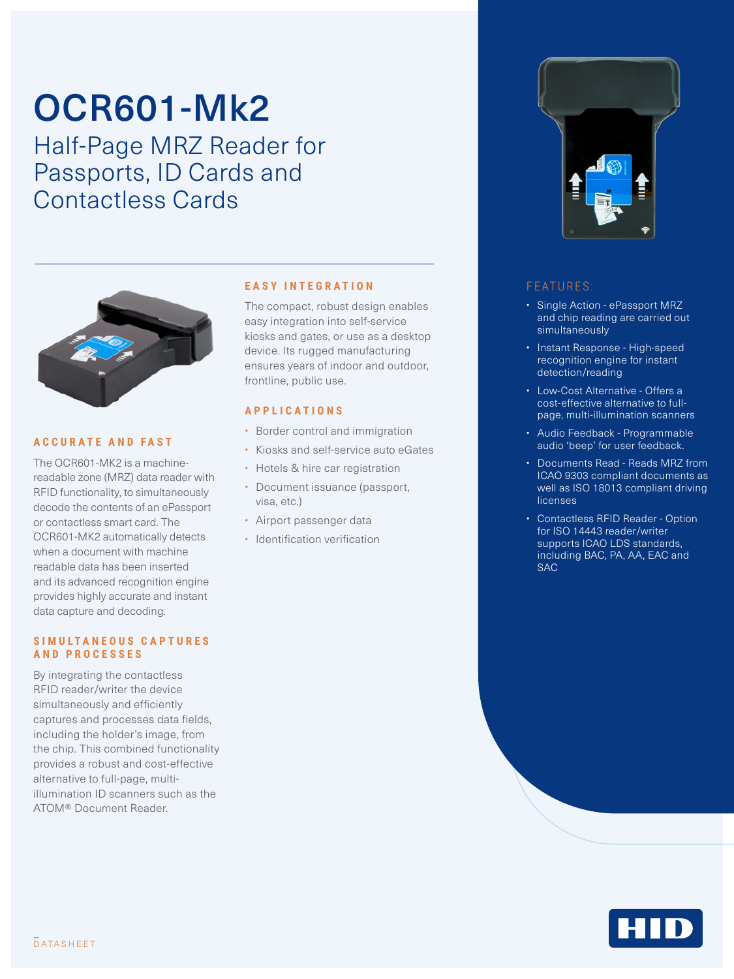# OCR601-Mk2

Half-Page MRZ Reader for Passports, ID Cards and Contactless Cards



#### **ACCURATE AND FAST**

The OCR601-MK2 is a machinereadable zone (MRZ) data reader with RFID functionality, to simultaneously decode the contents of an ePassport or contactless smart card. The OCR601-MK2 automatically detects when a document with machine readable data has been inserted and its advanced recognition engine provides highly accurate and instant data capture and decoding.

#### **S I M U L T A N E O U S C A P T U R E S AND PROCESSES**

By integrating the contactless RFID reader/writer the device simultaneously and efficiently captures and processes data fields, including the holder's image, from the chip. This combined functionality provides a robust and cost-effective alternative to full-page, multiillumination ID scanners such as the ATOM® Document Reader.

#### **EASY INTEGRATION**

The compact, robust design enables easy integration into self-service kiosks and gates, or use as a desktop device. Its rugged manufacturing ensures years of indoor and outdoor, frontline, public use.

#### **APPLICATIONS**

- Border control and immigration
- Kiosks and self-service auto eGates
- Hotels & hire car registration
- Document issuance (passport, visa, etc.)
- Airport passenger data
- Identification verification



### FEATURES:

- Single Action ePassport MRZ and chip reading are carried out simultaneously
- Instant Response High-speed recognition engine for instant detection/reading
- Low-Cost Alternative Offers a cost-effective alternative to fullpage, multi-illumination scanners
- Audio Feedback Programmable audio 'beep' for user feedback.
- Documents Read Reads MRZ from ICAO 9303 compliant documents as well as ISO 18013 compliant driving **licenses**
- Contactless RFID Reader Option for ISO 14443 reader/writer supports ICAO LDS standards, including BAC, PA, AA, EAC and SAC